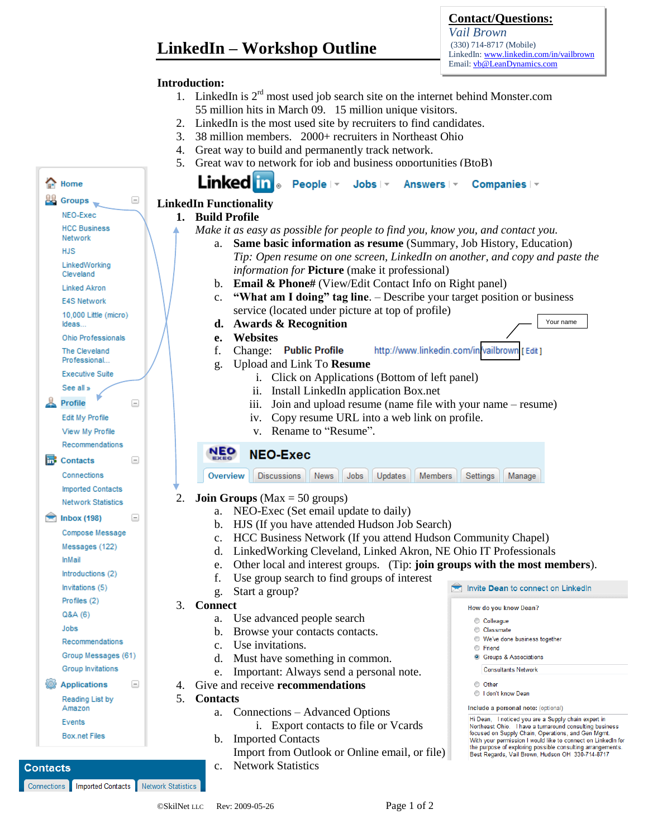# **LinkedIn – Workshop Outline**

### **Contact/Questions:**

*Vail Brown* (330) 714-8717 (Mobile) LinkedIn: www.linkedin.com/in/vailbrown Email: vb@LeanDynamics.com

#### **Introduction:**

- 1. LinkedIn is  $2<sup>rd</sup>$  most used job search site on the internet behind Monster.com 55 million hits in March 09. 15 million unique visitors.
- 2. LinkedIn is the most used site by recruiters to find candidates.
- 3. 38 million members. 2000+ recruiters in Northeast Ohio
- 4. Great way to build and permanently track network.
- 5. Great way to network for iob and business opportunities (BtoB)

| 습<br>Home                                                                                                                                                                                                                                                                                                                                                             | Linked in People  v Jobs  v Answers  v<br>Companies   -                                                                                                         |  |  |  |
|-----------------------------------------------------------------------------------------------------------------------------------------------------------------------------------------------------------------------------------------------------------------------------------------------------------------------------------------------------------------------|-----------------------------------------------------------------------------------------------------------------------------------------------------------------|--|--|--|
| 28<br>Ξ<br>Groups                                                                                                                                                                                                                                                                                                                                                     | <b>LinkedIn Functionality</b>                                                                                                                                   |  |  |  |
| NEO-Exec                                                                                                                                                                                                                                                                                                                                                              | 1. Build Profile                                                                                                                                                |  |  |  |
| <b>HCC Business</b>                                                                                                                                                                                                                                                                                                                                                   | Make it as easy as possible for people to find you, know you, and contact you.                                                                                  |  |  |  |
| Network                                                                                                                                                                                                                                                                                                                                                               | Same basic information as resume (Summary, Job History, Education)<br>a.                                                                                        |  |  |  |
| HJS                                                                                                                                                                                                                                                                                                                                                                   | Tip: Open resume on one screen, LinkedIn on another, and copy and paste the                                                                                     |  |  |  |
| LinkedWorking<br>Cleveland                                                                                                                                                                                                                                                                                                                                            | <i>information for Picture</i> (make it professional)                                                                                                           |  |  |  |
| <b>Linked Akron</b>                                                                                                                                                                                                                                                                                                                                                   | b. Email & Phone# (View/Edit Contact Info on Right panel)                                                                                                       |  |  |  |
| <b>E4S Network</b>                                                                                                                                                                                                                                                                                                                                                    | "What am I doing" tag line. - Describe your target position or business<br>$c_{\cdot}$                                                                          |  |  |  |
| 10,000 Little (micro)                                                                                                                                                                                                                                                                                                                                                 | service (located under picture at top of profile)                                                                                                               |  |  |  |
| Ideas                                                                                                                                                                                                                                                                                                                                                                 | <b>Awards &amp; Recognition</b><br>Your name<br>d.                                                                                                              |  |  |  |
| <b>Ohio Professionals</b>                                                                                                                                                                                                                                                                                                                                             | <b>Websites</b><br>e.                                                                                                                                           |  |  |  |
| The Cleveland                                                                                                                                                                                                                                                                                                                                                         | Change: Public Profile<br>http://www.linkedin.com/in/vailbrown [Edit]<br>f.                                                                                     |  |  |  |
| Professional                                                                                                                                                                                                                                                                                                                                                          | Upload and Link To Resume<br>g.                                                                                                                                 |  |  |  |
| <b>Executive Suite</b>                                                                                                                                                                                                                                                                                                                                                | i. Click on Applications (Bottom of left panel)                                                                                                                 |  |  |  |
| See all »                                                                                                                                                                                                                                                                                                                                                             | ii. Install LinkedIn application Box.net                                                                                                                        |  |  |  |
| Profile<br>o                                                                                                                                                                                                                                                                                                                                                          | Join and upload resume (name file with your name – resume)<br>$\overline{111}$ .                                                                                |  |  |  |
| Edit My Profile                                                                                                                                                                                                                                                                                                                                                       | Copy resume URL into a web link on profile.<br>1V.                                                                                                              |  |  |  |
| View My Profile                                                                                                                                                                                                                                                                                                                                                       | v. Rename to "Resume".                                                                                                                                          |  |  |  |
| Recommendations                                                                                                                                                                                                                                                                                                                                                       | <b>NEO</b>                                                                                                                                                      |  |  |  |
| hв<br>Contacts<br>$\begin{picture}(20,20) \put(0,0){\line(1,0){10}} \put(15,0){\line(1,0){10}} \put(15,0){\line(1,0){10}} \put(15,0){\line(1,0){10}} \put(15,0){\line(1,0){10}} \put(15,0){\line(1,0){10}} \put(15,0){\line(1,0){10}} \put(15,0){\line(1,0){10}} \put(15,0){\line(1,0){10}} \put(15,0){\line(1,0){10}} \put(15,0){\line(1,0){10}} \put(15,0){\line(1$ | <b>NEO-Exec</b>                                                                                                                                                 |  |  |  |
| Connections                                                                                                                                                                                                                                                                                                                                                           | <b>Discussions</b><br>Jobs<br>Updates<br>Overview<br>News<br><b>Members</b><br>Settings<br>Manage                                                               |  |  |  |
| <b>Imported Contacts</b>                                                                                                                                                                                                                                                                                                                                              |                                                                                                                                                                 |  |  |  |
| <b>Network Statistics</b>                                                                                                                                                                                                                                                                                                                                             | 2.<br><b>Join Groups</b> ( $Max = 50$ groups)                                                                                                                   |  |  |  |
| <b>Inbox (198)</b><br>$\equiv$                                                                                                                                                                                                                                                                                                                                        | NEO-Exec (Set email update to daily)<br>a.                                                                                                                      |  |  |  |
| Compose Message                                                                                                                                                                                                                                                                                                                                                       | HJS (If you have attended Hudson Job Search)<br>$\mathbf{b}$ .                                                                                                  |  |  |  |
| Messages (122)                                                                                                                                                                                                                                                                                                                                                        | HCC Business Network (If you attend Hudson Community Chapel)<br>$\mathbf{c}$ .<br>LinkedWorking Cleveland, Linked Akron, NE Ohio IT Professionals<br>d.         |  |  |  |
| <b>InMail</b>                                                                                                                                                                                                                                                                                                                                                         | Other local and interest groups. (Tip: join groups with the most members).                                                                                      |  |  |  |
| Introductions (2)                                                                                                                                                                                                                                                                                                                                                     | e.<br>Use group search to find groups of interest<br>f.                                                                                                         |  |  |  |
| Invitations (5)                                                                                                                                                                                                                                                                                                                                                       | Invite Dean to connect on LinkedIn<br>Start a group?<br>g.                                                                                                      |  |  |  |
| Profiles (2)                                                                                                                                                                                                                                                                                                                                                          | 3.<br><b>Connect</b>                                                                                                                                            |  |  |  |
| Q&A (6)                                                                                                                                                                                                                                                                                                                                                               | How do you know Dean?<br>Use advanced people search<br>a.                                                                                                       |  |  |  |
| Jobs                                                                                                                                                                                                                                                                                                                                                                  | Colleague<br>Browse your contacts contacts.<br>© Classmate<br>b.                                                                                                |  |  |  |
| Recommendations                                                                                                                                                                                                                                                                                                                                                       | ◯ We've done business together<br>Use invitations.<br>c.                                                                                                        |  |  |  |
| Group Messages (61)                                                                                                                                                                                                                                                                                                                                                   | ◯ Friend<br>Must have something in common.<br><b>S</b> Groups & Associations<br>d.                                                                              |  |  |  |
| Group Invitations                                                                                                                                                                                                                                                                                                                                                     | <b>Consultants Network</b><br>Important: Always send a personal note.<br>e.                                                                                     |  |  |  |
| <b>Applications</b><br>$\overline{\phantom{m}}$                                                                                                                                                                                                                                                                                                                       | Give and receive recommendations<br>C Other<br>4.                                                                                                               |  |  |  |
| Reading List by                                                                                                                                                                                                                                                                                                                                                       | I don't know Dean<br>5.<br><b>Contacts</b>                                                                                                                      |  |  |  |
| Amazon                                                                                                                                                                                                                                                                                                                                                                | Include a personal note: (optional)<br>Connections – Advanced Options<br>a.                                                                                     |  |  |  |
| Events                                                                                                                                                                                                                                                                                                                                                                | Hi Dean, I noticed you are a Supply chain expert in<br>i. Export contacts to file or Vcards<br>Northeast Ohio. I have a turnaround consulting business          |  |  |  |
| Box.net Files                                                                                                                                                                                                                                                                                                                                                         | focused on Supply Chain, Operations, and Gen Mgmt.<br><b>Imported Contacts</b><br>b.<br>With your permission I would like to connect on LinkedIn for            |  |  |  |
|                                                                                                                                                                                                                                                                                                                                                                       | the purpose of exploring possible consulting arrangements.<br>Import from Outlook or Online email, or file)<br>Best Regards, Vail Brown, Hudson OH 330-714-8717 |  |  |  |
| <b>Contacts</b>                                                                                                                                                                                                                                                                                                                                                       | <b>Network Statistics</b><br>$c_{\cdot}$                                                                                                                        |  |  |  |
|                                                                                                                                                                                                                                                                                                                                                                       |                                                                                                                                                                 |  |  |  |

Connections Imported Contacts Network Statistics